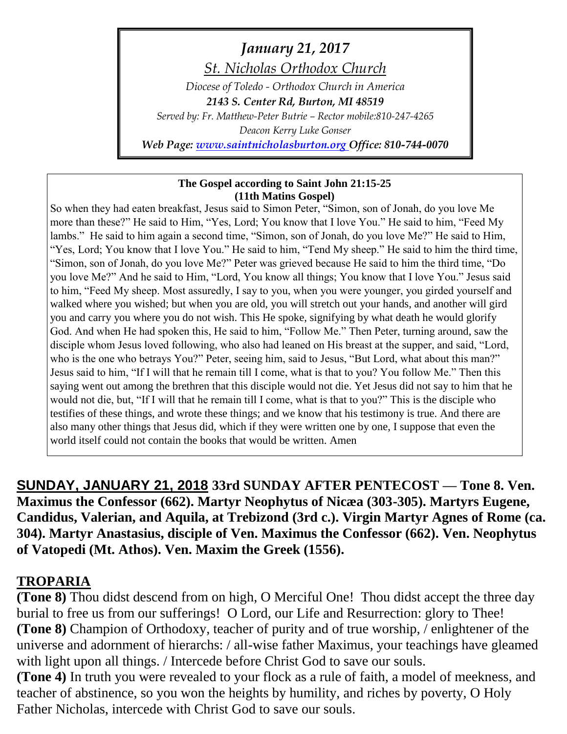*January 21, 2017 St. Nicholas Orthodox Church*

*Diocese of Toledo - Orthodox Church in America 2143 S. Center Rd, Burton, MI 48519 Served by: Fr. Matthew-Peter Butrie – Rector mobile:810-247-4265 Deacon Kerry Luke Gonser Web Page: [www.saintnicholasburton.org](http://www.saintnicholasburton.org/) Office: 810-744-0070*

### **The Gospel according to Saint John 21:15-25 (11th Matins Gospel)**

So when they had eaten breakfast, Jesus said to Simon Peter, "Simon, son of Jonah, do you love Me more than these?" He said to Him, "Yes, Lord; You know that I love You." He said to him, "Feed My lambs." He said to him again a second time, "Simon, son of Jonah, do you love Me?" He said to Him, "Yes, Lord; You know that I love You." He said to him, "Tend My sheep." He said to him the third time, "Simon, son of Jonah, do you love Me?" Peter was grieved because He said to him the third time, "Do you love Me?" And he said to Him, "Lord, You know all things; You know that I love You." Jesus said to him, "Feed My sheep. Most assuredly, I say to you, when you were younger, you girded yourself and walked where you wished; but when you are old, you will stretch out your hands, and another will gird you and carry you where you do not wish. This He spoke, signifying by what death he would glorify God. And when He had spoken this, He said to him, "Follow Me." Then Peter, turning around, saw the disciple whom Jesus loved following, who also had leaned on His breast at the supper, and said, "Lord, who is the one who betrays You?" Peter, seeing him, said to Jesus, "But Lord, what about this man?" Jesus said to him, "If I will that he remain till I come, what is that to you? You follow Me." Then this saying went out among the brethren that this disciple would not die. Yet Jesus did not say to him that he would not die, but, "If I will that he remain till I come, what is that to you?" This is the disciple who testifies of these things, and wrote these things; and we know that his testimony is true. And there are also many other things that Jesus did, which if they were written one by one, I suppose that even the world itself could not contain the books that would be written. Amen

**SUNDAY, JANUARY 21, 2018 33rd SUNDAY AFTER PENTECOST — Tone 8. Ven. Maximus the Confessor (662). Martyr Neophytus of Nicæa (303-305). Martyrs Eugene, Candidus, Valerian, and Aquila, at Trebizond (3rd c.). Virgin Martyr Agnes of Rome (ca. 304). Martyr Anastasius, disciple of Ven. Maximus the Confessor (662). Ven. Neophytus of Vatopedi (Mt. Athos). Ven. Maxim the Greek (1556).**

## **TROPARIA**

**(Tone 8)** Thou didst descend from on high, O Merciful One! Thou didst accept the three day burial to free us from our sufferings! O Lord, our Life and Resurrection: glory to Thee! **(Tone 8)** Champion of Orthodoxy, teacher of purity and of true worship, / enlightener of the universe and adornment of hierarchs: / all-wise father Maximus, your teachings have gleamed with light upon all things. / Intercede before Christ God to save our souls.

**(Tone 4)** In truth you were revealed to your flock as a rule of faith, a model of meekness, and teacher of abstinence, so you won the heights by humility, and riches by poverty, O Holy Father Nicholas, intercede with Christ God to save our souls.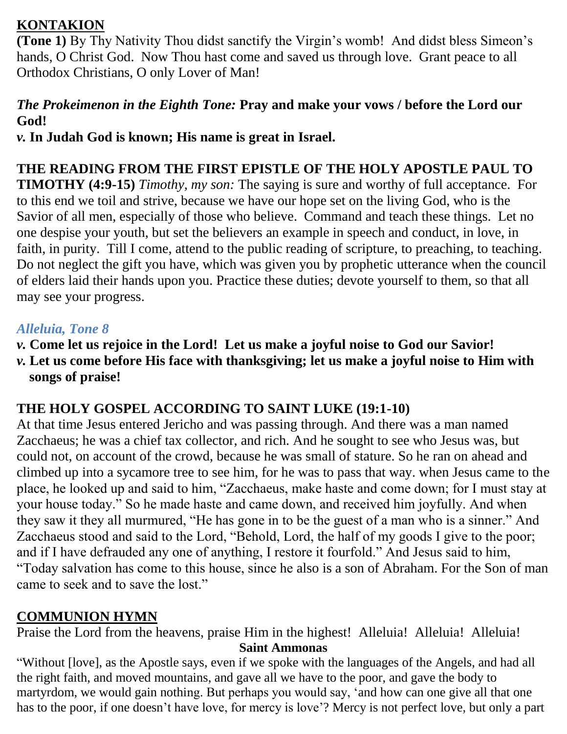## **KONTAKION**

**(Tone 1)** By Thy Nativity Thou didst sanctify the Virgin's womb! And didst bless Simeon's hands, O Christ God. Now Thou hast come and saved us through love. Grant peace to all Orthodox Christians, O only Lover of Man!

## *The Prokeimenon in the Eighth Tone:* **Pray and make your vows / before the Lord our God!**

*v.* **In Judah God is known; His name is great in Israel.**

# **THE READING FROM THE FIRST EPISTLE OF THE HOLY APOSTLE PAUL TO**

**TIMOTHY (4:9-15)** *Timothy, my son:* The saying is sure and worthy of full acceptance. For to this end we toil and strive, because we have our hope set on the living God, who is the Savior of all men, especially of those who believe. Command and teach these things. Let no one despise your youth, but set the believers an example in speech and conduct, in love, in faith, in purity. Till I come, attend to the public reading of scripture, to preaching, to teaching. Do not neglect the gift you have, which was given you by prophetic utterance when the council of elders laid their hands upon you. Practice these duties; devote yourself to them, so that all may see your progress.

## *Alleluia, Tone 8*

- *v.* **Come let us rejoice in the Lord! Let us make a joyful noise to God our Savior!**
- *v.* **Let us come before His face with thanksgiving; let us make a joyful noise to Him with songs of praise!**

## **THE HOLY GOSPEL ACCORDING TO SAINT LUKE (19:1-10)**

At that time Jesus entered Jericho and was passing through. And there was a man named Zacchaeus; he was a chief tax collector, and rich. And he sought to see who Jesus was, but could not, on account of the crowd, because he was small of stature. So he ran on ahead and climbed up into a sycamore tree to see him, for he was to pass that way. when Jesus came to the place, he looked up and said to him, "Zacchaeus, make haste and come down; for I must stay at your house today." So he made haste and came down, and received him joyfully. And when they saw it they all murmured, "He has gone in to be the guest of a man who is a sinner." And Zacchaeus stood and said to the Lord, "Behold, Lord, the half of my goods I give to the poor; and if I have defrauded any one of anything, I restore it fourfold." And Jesus said to him, "Today salvation has come to this house, since he also is a son of Abraham. For the Son of man came to seek and to save the lost."

## **COMMUNION HYMN**

Praise the Lord from the heavens, praise Him in the highest! Alleluia! Alleluia! Alleluia! **Saint Ammonas**

"Without [love], as the Apostle says, even if we spoke with the languages of the Angels, and had all the right faith, and moved mountains, and gave all we have to the poor, and gave the body to martyrdom, we would gain nothing. But perhaps you would say, 'and how can one give all that one has to the poor, if one doesn't have love, for mercy is love'? Mercy is not perfect love, but only a part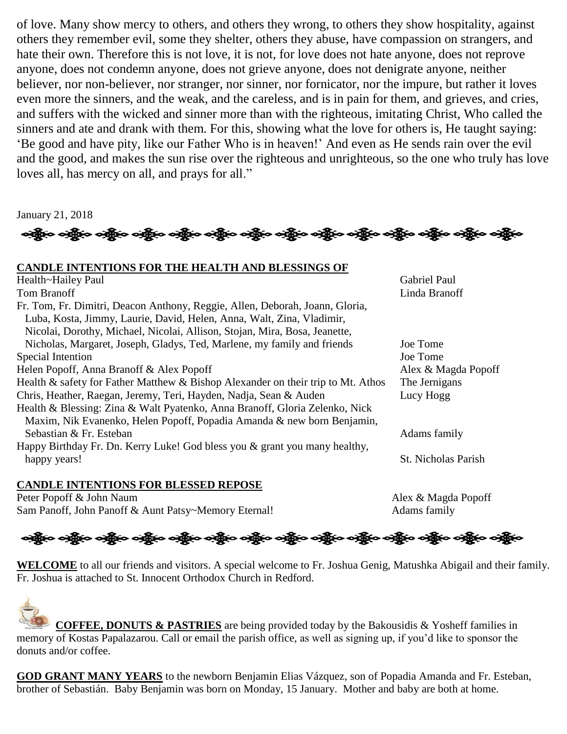of love. Many show mercy to others, and others they wrong, to others they show hospitality, against others they remember evil, some they shelter, others they abuse, have compassion on strangers, and hate their own. Therefore this is not love, it is not, for love does not hate anyone, does not reprove anyone, does not condemn anyone, does not grieve anyone, does not denigrate anyone, neither believer, nor non-believer, nor stranger, nor sinner, nor fornicator, nor the impure, but rather it loves even more the sinners, and the weak, and the careless, and is in pain for them, and grieves, and cries, and suffers with the wicked and sinner more than with the righteous, imitating Christ, Who called the sinners and ate and drank with them. For this, showing what the love for others is, He taught saying: 'Be good and have pity, like our Father Who is in heaven!' And even as He sends rain over the evil and the good, and makes the sun rise over the righteous and unrighteous, so the one who truly has love loves all, has mercy on all, and prays for all."

January 21, 2018

ခရွို့က ခရွိက ခရွိက သို့သော သို့သည်။ ခရွိက ခရွိက ခရွိက ခရွိက သို့သည်။ သို့သည်။ ခရွိက ခရွိက ခရွိက

#### **CANDLE INTENTIONS FOR THE HEALTH AND BLESSINGS OF**

Health~Hailey Paul Gabriel Paul Gabriel Paul Tom Branoff Linda Branoff Linda Branoff Linda Branoff Linda Branoff Linda Branoff Linda Branoff Linda Branoff Linda Branoff Linda Branoff Linda Branoff Linda Branoff Linda Branoff Linda Branoff Linda Branoff Linda Branoff Fr. Tom, Fr. Dimitri, Deacon Anthony, Reggie, Allen, Deborah, Joann, Gloria, Luba, Kosta, Jimmy, Laurie, David, Helen, Anna, Walt, Zina, Vladimir, Nicolai, Dorothy, Michael, Nicolai, Allison, Stojan, Mira, Bosa, Jeanette, Nicholas, Margaret, Joseph, Gladys, Ted, Marlene, my family and friends Joe Tome Special Intention Joe Tome Helen Popoff, Anna Branoff & Alex Popoff Alex Annual Alex & Magda Popoff Health & safety for Father Matthew & Bishop Alexander on their trip to Mt. Athos The Jernigans Chris, Heather, Raegan, Jeremy, Teri, Hayden, Nadja, Sean & Auden Lucy Hogg Health & Blessing: Zina & Walt Pyatenko, Anna Branoff, Gloria Zelenko, Nick Maxim, Nik Evanenko, Helen Popoff, Popadia Amanda & new born Benjamin, Sebastian & Fr. Esteban Adams family Happy Birthday Fr. Dn. Kerry Luke! God bless you & grant you many healthy, happy years! St. Nicholas Parish

#### **CANDLE INTENTIONS FOR BLESSED REPOSE**

Peter Popoff & John Naum Alex & Magda Popoff Sam Panoff, John Panoff & Aunt Patsy~Memory Eternal! Adams family

# ခရွိပြော ခရွိပြော ခရွိပြော ခရိုက် ခရိုက် ခရိုက် ခရိုက် ခရိုက် ခရိုက် ခရိုက် ခရိုက် ခရိုက် ခရိုက် ခရိုက်

**WELCOME** to all our friends and visitors. A special welcome to Fr. Joshua Genig, Matushka Abigail and their family. Fr. Joshua is attached to St. Innocent Orthodox Church in Redford.

 **COFFEE, DONUTS & PASTRIES** are being provided today by the Bakousidis & Yosheff families in memory of Kostas Papalazarou. Call or email the parish office, as well as signing up, if you'd like to sponsor the donuts and/or coffee.

**GOD GRANT MANY YEARS** to the newborn Benjamin Elias Vázquez, son of Popadia Amanda and Fr. Esteban, brother of Sebastián. Baby Benjamin was born on Monday, 15 January. Mother and baby are both at home.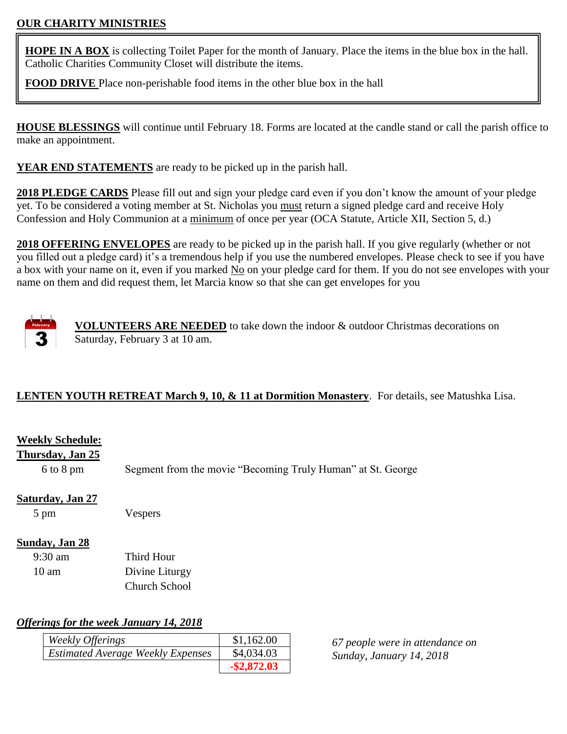### **OUR CHARITY MINISTRIES**

**HOPE IN A BOX** is collecting Toilet Paper for the month of January. Place the items in the blue box in the hall. Catholic Charities Community Closet will distribute the items.

**FOOD DRIVE** Place non-perishable food items in the other blue box in the hall

**HOUSE BLESSINGS** will continue until February 18. Forms are located at the candle stand or call the parish office to make an appointment.

**YEAR END STATEMENTS** are ready to be picked up in the parish hall.

**2018 PLEDGE CARDS** Please fill out and sign your pledge card even if you don't know the amount of your pledge yet. To be considered a voting member at St. Nicholas you must return a signed pledge card and receive Holy Confession and Holy Communion at a minimum of once per year (OCA Statute, Article XII, Section 5, d.)

**2018 OFFERING ENVELOPES** are ready to be picked up in the parish hall. If you give regularly (whether or not you filled out a pledge card) it's a tremendous help if you use the numbered envelopes. Please check to see if you have a box with your name on it, even if you marked No on your pledge card for them. If you do not see envelopes with your name on them and did request them, let Marcia know so that she can get envelopes for you



**VOLUNTEERS ARE NEEDED** to take down the indoor & outdoor Christmas decorations on Saturday, February 3 at 10 am.

## **LENTEN YOUTH RETREAT March 9, 10, & 11 at Dormition Monastery**. For details, see Matushka Lisa.

## **Weekly Schedule:**

**Thursday, Jan 25**

6 to 8 pm Segment from the movie "Becoming Truly Human" at St. George

### **Saturday, Jan 27**

5 pm Vespers

### **Sunday, Jan 28**

| $9:30 \text{ am}$ | Third Hour           |
|-------------------|----------------------|
| $10 \text{ am}$   | Divine Liturgy       |
|                   | <b>Church School</b> |

### *Offerings for the week January 14, 2018*

| Weekly Offerings                         | \$1,162.00     |
|------------------------------------------|----------------|
| <b>Estimated Average Weekly Expenses</b> | \$4,034.03     |
|                                          | $-$ \$2,872.03 |

*67 people were in attendance on Sunday, January 14, 2018*